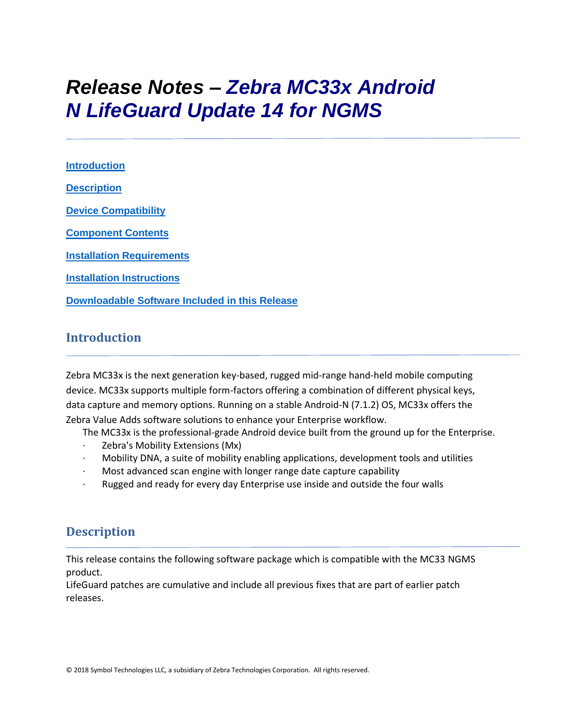# *Release Notes – Zebra MC33x Android N LifeGuard Update 14 for NGMS*

**[Introduction](#page-0-0) [Description](#page-0-1) [Device Compatibility](#page-10-0) [Component Contents](#page-1-0) [Installation Requirements](#page-12-0) [Installation Instructions](#page-13-0) [Downloadable Software Included in this Release](#page-15-0)**

## <span id="page-0-0"></span>**Introduction**

Zebra MC33x is the next generation key-based, rugged mid-range hand-held mobile computing device. MC33x supports multiple form-factors offering a combination of different physical keys, data capture and memory options. Running on a stable Android-N (7.1.2) OS, MC33x offers the Zebra Value Adds software solutions to enhance your Enterprise workflow.

The MC33x is the professional-grade Android device built from the ground up for the Enterprise.

- Zebra's Mobility Extensions (Mx)
- · Mobility DNA, a suite of mobility enabling applications, development tools and utilities
- · Most advanced scan engine with longer range date capture capability
- Rugged and ready for every day Enterprise use inside and outside the four walls

## <span id="page-0-1"></span>**Description**

This release contains the following software package which is compatible with the MC33 NGMS product.

LifeGuard patches are cumulative and include all previous fixes that are part of earlier patch releases.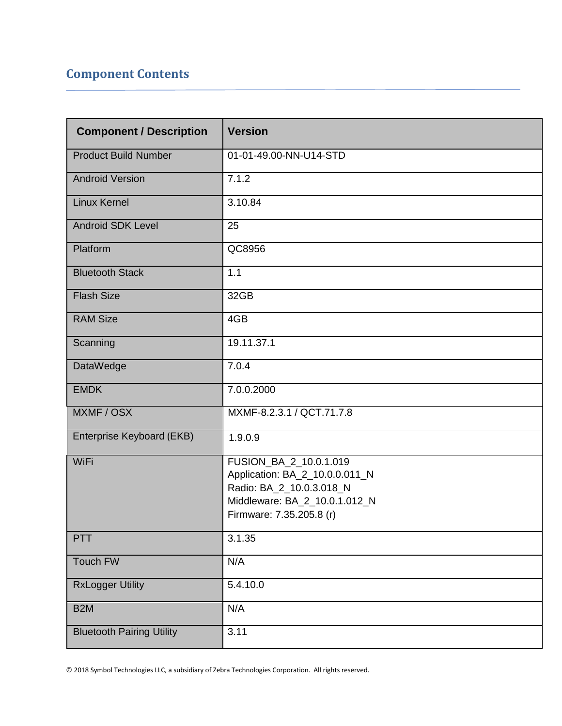## <span id="page-1-0"></span>**Component Contents**

| <b>Component / Description</b>   | <b>Version</b>                                                                                                                                    |
|----------------------------------|---------------------------------------------------------------------------------------------------------------------------------------------------|
| <b>Product Build Number</b>      | 01-01-49.00-NN-U14-STD                                                                                                                            |
| <b>Android Version</b>           | 7.1.2                                                                                                                                             |
| <b>Linux Kernel</b>              | 3.10.84                                                                                                                                           |
| <b>Android SDK Level</b>         | 25                                                                                                                                                |
| Platform                         | QC8956                                                                                                                                            |
| <b>Bluetooth Stack</b>           | 1.1                                                                                                                                               |
| <b>Flash Size</b>                | 32GB                                                                                                                                              |
| <b>RAM Size</b>                  | 4GB                                                                                                                                               |
| Scanning                         | 19.11.37.1                                                                                                                                        |
| DataWedge                        | 7.0.4                                                                                                                                             |
| <b>EMDK</b>                      | 7.0.0.2000                                                                                                                                        |
| MXMF / OSX                       | MXMF-8.2.3.1 / QCT.71.7.8                                                                                                                         |
| Enterprise Keyboard (EKB)        | 1.9.0.9                                                                                                                                           |
| WiFi                             | FUSION_BA_2_10.0.1.019<br>Application: BA_2_10.0.0.011_N<br>Radio: BA_2_10.0.3.018_N<br>Middleware: BA_2_10.0.1.012_N<br>Firmware: 7.35.205.8 (r) |
| PTT                              | 3.1.35                                                                                                                                            |
| <b>Touch FW</b>                  | N/A                                                                                                                                               |
| <b>RxLogger Utility</b>          | 5.4.10.0                                                                                                                                          |
| B <sub>2</sub> M                 | N/A                                                                                                                                               |
| <b>Bluetooth Pairing Utility</b> | 3.11                                                                                                                                              |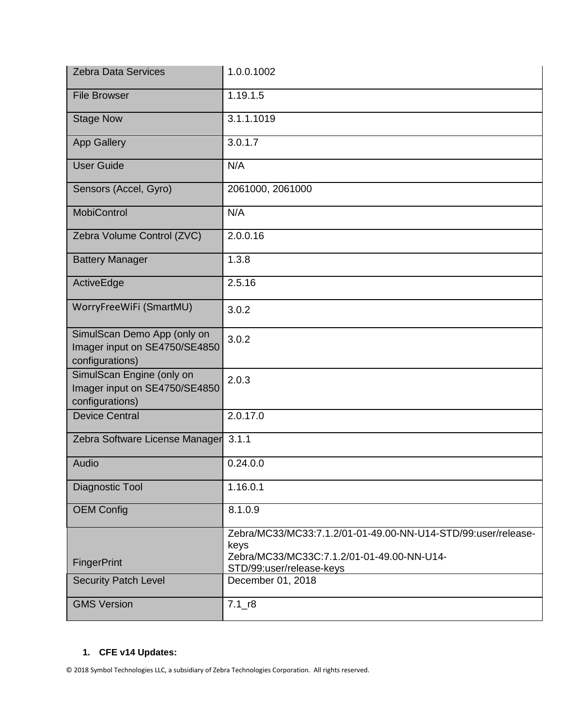| <b>Zebra Data Services</b>                                                      | 1.0.0.1002                                                                                                                                      |
|---------------------------------------------------------------------------------|-------------------------------------------------------------------------------------------------------------------------------------------------|
| <b>File Browser</b>                                                             | 1.19.1.5                                                                                                                                        |
| <b>Stage Now</b>                                                                | $3.1.1.\overline{1019}$                                                                                                                         |
| <b>App Gallery</b>                                                              | 3.0.1.7                                                                                                                                         |
| <b>User Guide</b>                                                               | N/A                                                                                                                                             |
| Sensors (Accel, Gyro)                                                           | 2061000, 2061000                                                                                                                                |
| <b>MobiControl</b>                                                              | N/A                                                                                                                                             |
| Zebra Volume Control (ZVC)                                                      | 2.0.0.16                                                                                                                                        |
| <b>Battery Manager</b>                                                          | 1.3.8                                                                                                                                           |
| ActiveEdge                                                                      | 2.5.16                                                                                                                                          |
| WorryFreeWiFi (SmartMU)                                                         | 3.0.2                                                                                                                                           |
| SimulScan Demo App (only on<br>Imager input on SE4750/SE4850<br>configurations) | 3.0.2                                                                                                                                           |
| SimulScan Engine (only on<br>Imager input on SE4750/SE4850<br>configurations)   | 2.0.3                                                                                                                                           |
| <b>Device Central</b>                                                           | 2.0.17.0                                                                                                                                        |
| Zebra Software License Manager 3.1.1                                            |                                                                                                                                                 |
| Audio                                                                           | 0.24.0.0                                                                                                                                        |
| Diagnostic Tool                                                                 | 1.16.0.1                                                                                                                                        |
| <b>OEM Config</b>                                                               | 8.1.0.9                                                                                                                                         |
| <b>FingerPrint</b>                                                              | Zebra/MC33/MC33:7.1.2/01-01-49.00-NN-U14-STD/99:user/release-<br>keys<br>Zebra/MC33/MC33C:7.1.2/01-01-49.00-NN-U14-<br>STD/99:user/release-keys |
| <b>Security Patch Level</b>                                                     | December 01, 2018                                                                                                                               |
| <b>GMS Version</b>                                                              | $7.1 - r8$                                                                                                                                      |

## **1. CFE v14 Updates:**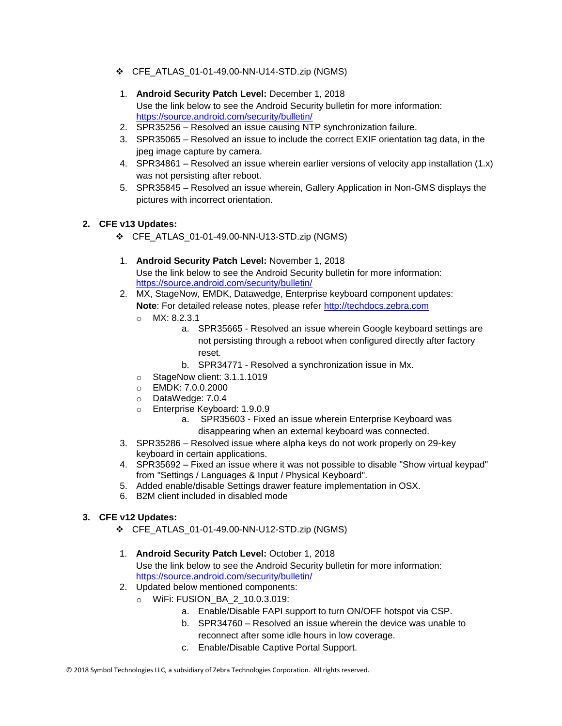- ❖ CFE\_ATLAS\_01-01-49.00-NN-U14-STD.zip (NGMS)
- 1. **Android Security Patch Level:** December 1, 2018 Use the link below to see the Android Security bulletin for more information: <https://source.android.com/security/bulletin/>
- 2. SPR35256 Resolved an issue causing NTP synchronization failure.
- 3. SPR35065 Resolved an issue to include the correct EXIF orientation tag data, in the jpeg image capture by camera.
- 4. SPR34861 Resolved an issue wherein earlier versions of velocity app installation (1.x) was not persisting after reboot.
- 5. SPR35845 Resolved an issue wherein, Gallery Application in Non-GMS displays the pictures with incorrect orientation.

#### **2. CFE v13 Updates:**

- ❖ CFE\_ATLAS\_01-01-49.00-NN-U13-STD.zip (NGMS)
- 1. **Android Security Patch Level:** November 1, 2018 Use the link below to see the Android Security bulletin for more information: <https://source.android.com/security/bulletin/>
- 2. MX, StageNow, EMDK, Datawedge, Enterprise keyboard component updates: **Note**: For detailed release notes, please refer [http://techdocs.zebra.com](http://techdocs.zebra.com/)
	- o MX: 8.2.3.1
		- a. SPR35665 Resolved an issue wherein Google keyboard settings are not persisting through a reboot when configured directly after factory reset.
		- b. SPR34771 Resolved a synchronization issue in Mx.
	- o StageNow client: 3.1.1.1019
	- o EMDK: 7.0.0.2000
	- o DataWedge: 7.0.4
	- o Enterprise Keyboard: 1.9.0.9
		- a. SPR35603 Fixed an issue wherein Enterprise Keyboard was disappearing when an external keyboard was connected.
- 3. SPR35286 Resolved issue where alpha keys do not work properly on 29-key keyboard in certain applications.
- 4. SPR35692 Fixed an issue where it was not possible to disable "Show virtual keypad" from "Settings / Languages & Input / Physical Keyboard".
- 5. Added enable/disable Settings drawer feature implementation in OSX.
- 6. B2M client included in disabled mode

#### **3. CFE v12 Updates:**

- ❖ CFE\_ATLAS\_01-01-49.00-NN-U12-STD.zip (NGMS)
- 1. **Android Security Patch Level:** October 1, 2018 Use the link below to see the Android Security bulletin for more information: <https://source.android.com/security/bulletin/>
- 2. Updated below mentioned components:
	- o WiFi: FUSION\_BA\_2\_10.0.3.019:
		- a. Enable/Disable FAPI support to turn ON/OFF hotspot via CSP.
		- b. SPR34760 Resolved an issue wherein the device was unable to reconnect after some idle hours in low coverage.
		- c. Enable/Disable Captive Portal Support.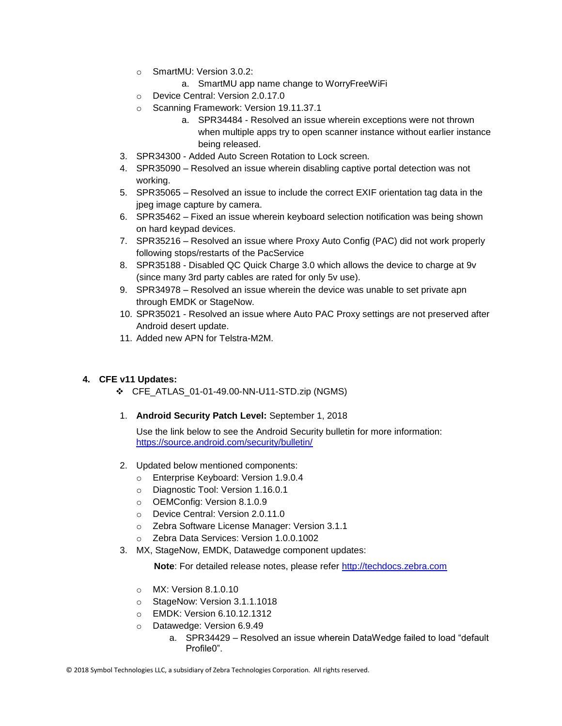- o SmartMU: Version 3.0.2:
	- a. SmartMU app name change to WorryFreeWiFi
- o Device Central: Version 2.0.17.0
- o Scanning Framework: Version 19.11.37.1
	- a. SPR34484 Resolved an issue wherein exceptions were not thrown when multiple apps try to open scanner instance without earlier instance being released.
- 3. SPR34300 Added Auto Screen Rotation to Lock screen.
- 4. SPR35090 Resolved an issue wherein disabling captive portal detection was not working.
- 5. SPR35065 Resolved an issue to include the correct EXIF orientation tag data in the jpeg image capture by camera.
- 6. SPR35462 Fixed an issue wherein keyboard selection notification was being shown on hard keypad devices.
- 7. SPR35216 Resolved an issue where Proxy Auto Config (PAC) did not work properly following stops/restarts of the PacService
- 8. SPR35188 Disabled QC Quick Charge 3.0 which allows the device to charge at 9v (since many 3rd party cables are rated for only 5v use).
- 9. SPR34978 Resolved an issue wherein the device was unable to set private apn through EMDK or StageNow.
- 10. SPR35021 Resolved an issue where Auto PAC Proxy settings are not preserved after Android desert update.
- 11. Added new APN for Telstra-M2M.

#### **4. CFE v11 Updates:**

- ❖ CFE\_ATLAS\_01-01-49.00-NN-U11-STD.zip (NGMS)
- 1. **Android Security Patch Level:** September 1, 2018

Use the link below to see the Android Security bulletin for more information: <https://source.android.com/security/bulletin/>

- 2. Updated below mentioned components:
	- o Enterprise Keyboard: Version 1.9.0.4
	- o Diagnostic Tool: Version 1.16.0.1
	- o OEMConfig: Version 8.1.0.9
	- o Device Central: Version 2.0.11.0
	- o Zebra Software License Manager: Version 3.1.1
	- o Zebra Data Services: Version 1.0.0.1002
- 3. MX, StageNow, EMDK, Datawedge component updates:

**Note:** For detailed release notes, please refer [http://techdocs.zebra.com](http://techdocs.zebra.com/)

- o MX: Version 8.1.0.10
- o StageNow: Version 3.1.1.1018
- o EMDK: Version 6.10.12.1312
- o Datawedge: Version 6.9.49
	- a. SPR34429 Resolved an issue wherein DataWedge failed to load "default Profile0".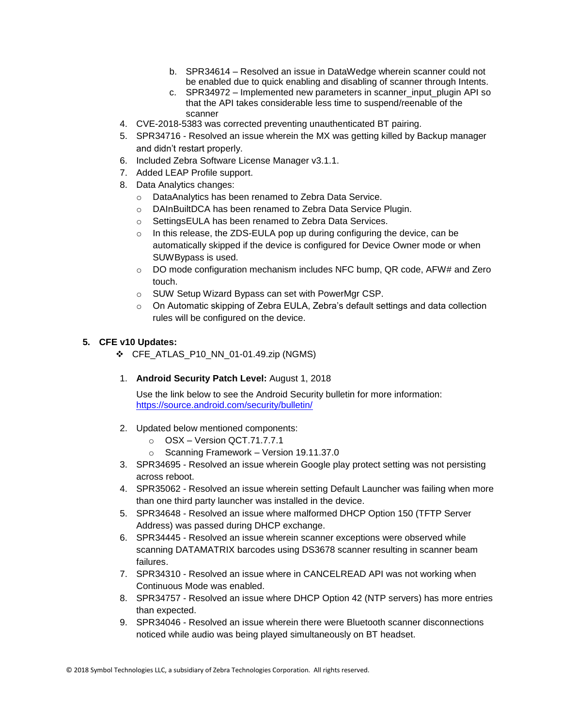- b. SPR34614 Resolved an issue in DataWedge wherein scanner could not be enabled due to quick enabling and disabling of scanner through Intents.
- c. SPR34972 Implemented new parameters in scanner input plugin API so that the API takes considerable less time to suspend/reenable of the scanner
- 4. CVE-2018-5383 was corrected preventing unauthenticated BT pairing.
- 5. SPR34716 Resolved an issue wherein the MX was getting killed by Backup manager and didn't restart properly.
- 6. Included Zebra Software License Manager v3.1.1.
- 7. Added LEAP Profile support.
- 8. Data Analytics changes:
	- o DataAnalytics has been renamed to Zebra Data Service.
	- o DAInBuiltDCA has been renamed to Zebra Data Service Plugin.
	- o SettingsEULA has been renamed to Zebra Data Services.
	- $\circ$  In this release, the ZDS-EULA pop up during configuring the device, can be automatically skipped if the device is configured for Device Owner mode or when SUWBypass is used.
	- $\circ$  DO mode configuration mechanism includes NFC bump, QR code, AFW# and Zero touch.
	- o SUW Setup Wizard Bypass can set with PowerMgr CSP.
	- $\circ$  On Automatic skipping of Zebra EULA, Zebra's default settings and data collection rules will be configured on the device.

#### **5. CFE v10 Updates:**

- ❖ CFE\_ATLAS\_P10\_NN\_01-01.49.zip (NGMS)
- 1. **Android Security Patch Level:** August 1, 2018

Use the link below to see the Android Security bulletin for more information: <https://source.android.com/security/bulletin/>

- 2. Updated below mentioned components:
	- o OSX Version QCT.71.7.7.1
	- o Scanning Framework Version 19.11.37.0
- 3. SPR34695 Resolved an issue wherein Google play protect setting was not persisting across reboot.
- 4. SPR35062 Resolved an issue wherein setting Default Launcher was failing when more than one third party launcher was installed in the device.
- 5. SPR34648 Resolved an issue where malformed DHCP Option 150 (TFTP Server Address) was passed during DHCP exchange.
- 6. SPR34445 Resolved an issue wherein scanner exceptions were observed while scanning DATAMATRIX barcodes using DS3678 scanner resulting in scanner beam failures.
- 7. SPR34310 Resolved an issue where in CANCELREAD API was not working when Continuous Mode was enabled.
- 8. SPR34757 Resolved an issue where DHCP Option 42 (NTP servers) has more entries than expected.
- 9. SPR34046 Resolved an issue wherein there were Bluetooth scanner disconnections noticed while audio was being played simultaneously on BT headset.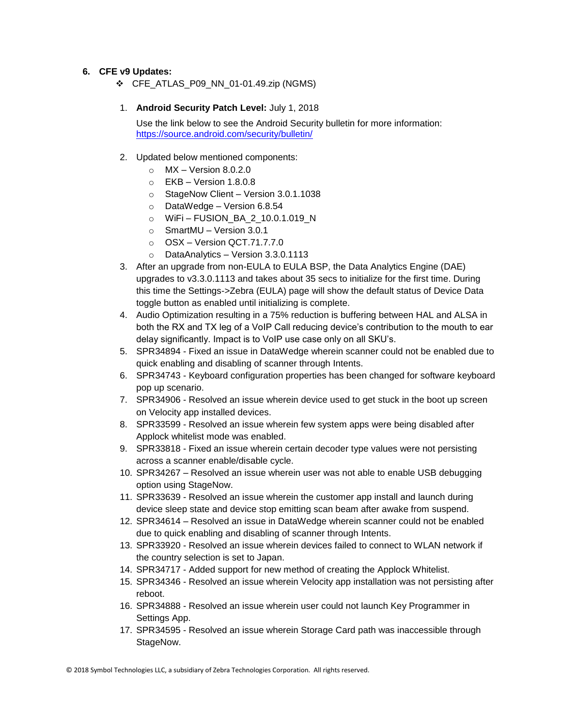#### **6. CFE v9 Updates:**

❖ CFE\_ATLAS\_P09\_NN\_01-01.49.zip (NGMS)

#### 1. **Android Security Patch Level:** July 1, 2018

Use the link below to see the Android Security bulletin for more information: <https://source.android.com/security/bulletin/>

#### 2. Updated below mentioned components:

- $\circ$  MX Version 8.0.2.0
- $\circ$  EKB Version 1.8.0.8
- o StageNow Client Version 3.0.1.1038
- o DataWedge Version 6.8.54
- o WiFi FUSION\_BA\_2\_10.0.1.019\_N
- $\circ$  SmartMU Version 3.0.1
- o OSX Version QCT.71.7.7.0
- o DataAnalytics Version 3.3.0.1113
- 3. After an upgrade from non-EULA to EULA BSP, the Data Analytics Engine (DAE) upgrades to v3.3.0.1113 and takes about 35 secs to initialize for the first time. During this time the Settings->Zebra (EULA) page will show the default status of Device Data toggle button as enabled until initializing is complete.
- 4. Audio Optimization resulting in a 75% reduction is buffering between HAL and ALSA in both the RX and TX leg of a VoIP Call reducing device's contribution to the mouth to ear delay significantly. Impact is to VoIP use case only on all SKU's.
- 5. SPR34894 Fixed an issue in DataWedge wherein scanner could not be enabled due to quick enabling and disabling of scanner through Intents.
- 6. SPR34743 Keyboard configuration properties has been changed for software keyboard pop up scenario.
- 7. SPR34906 Resolved an issue wherein device used to get stuck in the boot up screen on Velocity app installed devices.
- 8. SPR33599 Resolved an issue wherein few system apps were being disabled after Applock whitelist mode was enabled.
- 9. SPR33818 Fixed an issue wherein certain decoder type values were not persisting across a scanner enable/disable cycle.
- 10. SPR34267 Resolved an issue wherein user was not able to enable USB debugging option using StageNow.
- 11. SPR33639 Resolved an issue wherein the customer app install and launch during device sleep state and device stop emitting scan beam after awake from suspend.
- 12. SPR34614 Resolved an issue in DataWedge wherein scanner could not be enabled due to quick enabling and disabling of scanner through Intents.
- 13. SPR33920 Resolved an issue wherein devices failed to connect to WLAN network if the country selection is set to Japan.
- 14. SPR34717 Added support for new method of creating the Applock Whitelist.
- 15. SPR34346 Resolved an issue wherein Velocity app installation was not persisting after reboot.
- 16. SPR34888 Resolved an issue wherein user could not launch Key Programmer in Settings App.
- 17. SPR34595 Resolved an issue wherein Storage Card path was inaccessible through StageNow.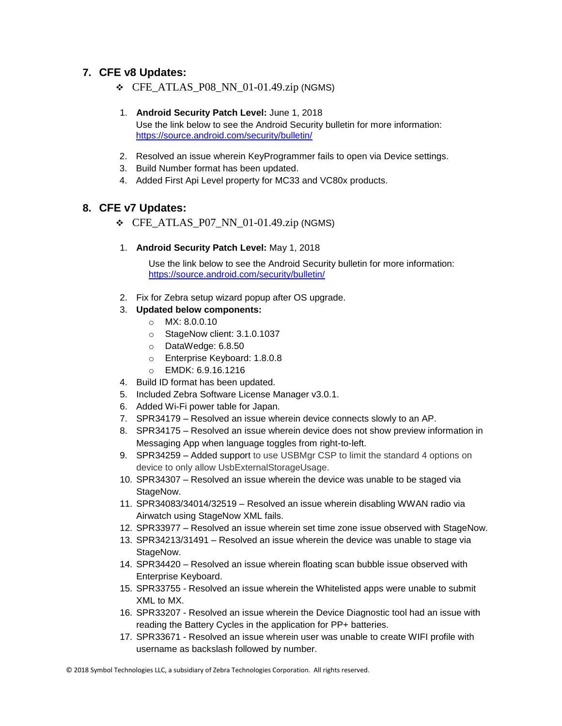#### **7. CFE v8 Updates:**

❖ CFE\_ATLAS\_P08\_NN\_01-01.49.zip (NGMS)

#### 1. **Android Security Patch Level:** June 1, 2018

Use the link below to see the Android Security bulletin for more information: <https://source.android.com/security/bulletin/>

- 2. Resolved an issue wherein KeyProgrammer fails to open via Device settings.
- 3. Build Number format has been updated.
- 4. Added First Api Level property for MC33 and VC80x products.

#### **8. CFE v7 Updates:**

- $\div$  CFE ATLAS P07 NN 01-01.49.zip (NGMS)
- 1. **Android Security Patch Level:** May 1, 2018

Use the link below to see the Android Security bulletin for more information: <https://source.android.com/security/bulletin/>

- 2. Fix for Zebra setup wizard popup after OS upgrade.
- 3. **Updated below components:**
	- o MX: 8.0.0.10
	- o StageNow client: 3.1.0.1037
	- o DataWedge: 6.8.50
	- o Enterprise Keyboard: 1.8.0.8
	- o EMDK: 6.9.16.1216
- 4. Build ID format has been updated.
- 5. Included Zebra Software License Manager v3.0.1.
- 6. Added Wi-Fi power table for Japan.
- 7. SPR34179 Resolved an issue wherein device connects slowly to an AP.
- 8. SPR34175 Resolved an issue wherein device does not show preview information in Messaging App when language toggles from right-to-left.
- 9. SPR34259 Added support to use USBMgr CSP to limit the standard 4 options on device to only allow UsbExternalStorageUsage.
- 10. SPR34307 Resolved an issue wherein the device was unable to be staged via StageNow.
- 11. SPR34083/34014/32519 Resolved an issue wherein disabling WWAN radio via Airwatch using StageNow XML fails.
- 12. SPR33977 Resolved an issue wherein set time zone issue observed with StageNow.
- 13. SPR34213/31491 Resolved an issue wherein the device was unable to stage via StageNow.
- 14. SPR34420 Resolved an issue wherein floating scan bubble issue observed with Enterprise Keyboard.
- 15. SPR33755 Resolved an issue wherein the Whitelisted apps were unable to submit XML to MX.
- 16. SPR33207 Resolved an issue wherein the Device Diagnostic tool had an issue with reading the Battery Cycles in the application for PP+ batteries.
- 17. SPR33671 Resolved an issue wherein user was unable to create WIFI profile with username as backslash followed by number.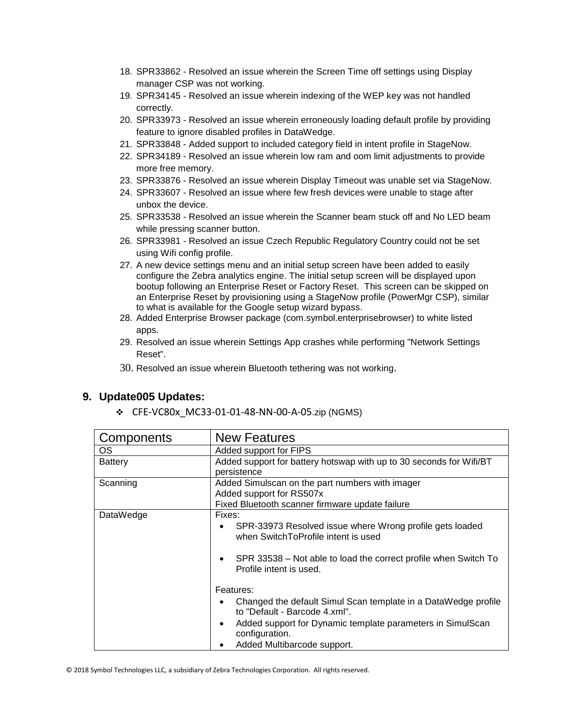- 18. SPR33862 Resolved an issue wherein the Screen Time off settings using Display manager CSP was not working.
- 19. SPR34145 Resolved an issue wherein indexing of the WEP key was not handled correctly.
- 20. SPR33973 Resolved an issue wherein erroneously loading default profile by providing feature to ignore disabled profiles in DataWedge.
- 21. SPR33848 Added support to included category field in intent profile in StageNow.
- 22. SPR34189 Resolved an issue wherein low ram and oom limit adjustments to provide more free memory.
- 23. SPR33876 Resolved an issue wherein Display Timeout was unable set via StageNow.
- 24. SPR33607 Resolved an issue where few fresh devices were unable to stage after unbox the device.
- 25. SPR33538 Resolved an issue wherein the Scanner beam stuck off and No LED beam while pressing scanner button.
- 26. SPR33981 Resolved an issue Czech Republic Regulatory Country could not be set using Wifi config profile.
- 27. A new device settings menu and an initial setup screen have been added to easily configure the Zebra analytics engine. The initial setup screen will be displayed upon bootup following an Enterprise Reset or Factory Reset. This screen can be skipped on an Enterprise Reset by provisioning using a StageNow profile (PowerMgr CSP), similar to what is available for the Google setup wizard bypass.
- 28. Added Enterprise Browser package (com.symbol.enterprisebrowser) to white listed apps.
- 29. Resolved an issue wherein Settings App crashes while performing "Network Settings Reset".
- 30. Resolved an issue wherein Bluetooth tethering was not working.

#### **9. Update005 Updates:**

❖ CFE-VC80x\_MC33-01-01-48-NN-00-A-05.zip (NGMS)

| Components     | <b>New Features</b>                                                     |  |
|----------------|-------------------------------------------------------------------------|--|
| <b>OS</b>      | Added support for FIPS                                                  |  |
| <b>Battery</b> | Added support for battery hotswap with up to 30 seconds for Wifi/BT     |  |
|                | persistence                                                             |  |
| Scanning       | Added Simulscan on the part numbers with imager                         |  |
|                | Added support for RS507x                                                |  |
|                | Fixed Bluetooth scanner firmware update failure                         |  |
| DataWedge      | Fixes:                                                                  |  |
|                | SPR-33973 Resolved issue where Wrong profile gets loaded                |  |
|                | when SwitchToProfile intent is used                                     |  |
|                |                                                                         |  |
|                | SPR 33538 – Not able to load the correct profile when Switch To         |  |
|                | Profile intent is used.                                                 |  |
|                |                                                                         |  |
|                | Features:                                                               |  |
|                | Changed the default Simul Scan template in a DataWedge profile          |  |
|                | to "Default - Barcode 4.xml".                                           |  |
|                | Added support for Dynamic template parameters in SimulScan<br>$\bullet$ |  |
|                | configuration.                                                          |  |
|                | Added Multibarcode support.                                             |  |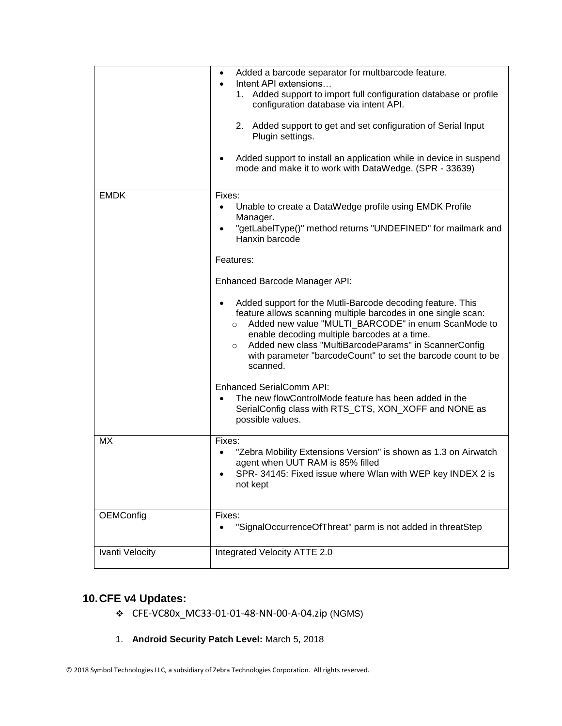|                 | Added a barcode separator for multbarcode feature.<br>$\bullet$<br>Intent API extensions<br>Added support to import full configuration database or profile<br>1.<br>configuration database via intent API.<br>2. Added support to get and set configuration of Serial Input<br>Plugin settings.<br>Added support to install an application while in device in suspend<br>mode and make it to work with DataWedge. (SPR - 33639)                                                                                                                                                                                                                                                                                                                                                                      |
|-----------------|------------------------------------------------------------------------------------------------------------------------------------------------------------------------------------------------------------------------------------------------------------------------------------------------------------------------------------------------------------------------------------------------------------------------------------------------------------------------------------------------------------------------------------------------------------------------------------------------------------------------------------------------------------------------------------------------------------------------------------------------------------------------------------------------------|
| <b>EMDK</b>     | Fixes:<br>Unable to create a DataWedge profile using EMDK Profile<br>Manager.<br>"getLabelType()" method returns "UNDEFINED" for mailmark and<br>Hanxin barcode<br>Features:<br>Enhanced Barcode Manager API:<br>Added support for the Mutli-Barcode decoding feature. This<br>feature allows scanning multiple barcodes in one single scan:<br>Added new value "MULTI_BARCODE" in enum ScanMode to<br>$\circ$<br>enable decoding multiple barcodes at a time.<br>Added new class "MultiBarcodeParams" in ScannerConfig<br>$\circ$<br>with parameter "barcodeCount" to set the barcode count to be<br>scanned.<br><b>Enhanced SerialComm API:</b><br>The new flowControlMode feature has been added in the<br>$\bullet$<br>SerialConfig class with RTS_CTS, XON_XOFF and NONE as<br>possible values. |
| MX              | Fixes:<br>"Zebra Mobility Extensions Version" is shown as 1.3 on Airwatch<br>agent when UUT RAM is 85% filled<br>SPR-34145: Fixed issue where Wlan with WEP key INDEX 2 is<br>not kept                                                                                                                                                                                                                                                                                                                                                                                                                                                                                                                                                                                                               |
| OEMConfig       | Fixes:<br>"SignalOccurrenceOfThreat" parm is not added in threatStep                                                                                                                                                                                                                                                                                                                                                                                                                                                                                                                                                                                                                                                                                                                                 |
| Ivanti Velocity | Integrated Velocity ATTE 2.0                                                                                                                                                                                                                                                                                                                                                                                                                                                                                                                                                                                                                                                                                                                                                                         |

## **10.CFE v4 Updates:**

- ❖ CFE-VC80x\_MC33-01-01-48-NN-00-A-04.zip (NGMS)
- 1. **Android Security Patch Level:** March 5, 2018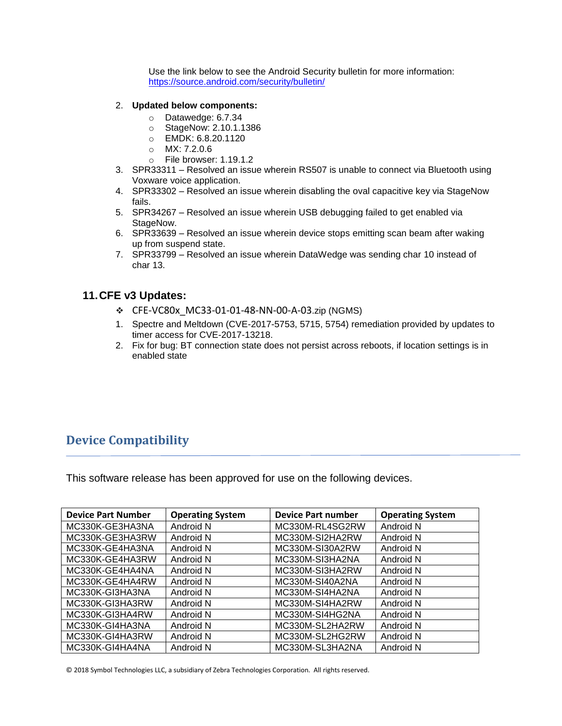Use the link below to see the Android Security bulletin for more information: <https://source.android.com/security/bulletin/>

#### 2. **Updated below components:**

- o Datawedge: 6.7.34
- o StageNow: 2.10.1.1386
- o EMDK: 6.8.20.1120
- o MX: 7.2.0.6
- o File browser: 1.19.1.2
- 3. SPR33311 Resolved an issue wherein RS507 is unable to connect via Bluetooth using Voxware voice application.
- 4. SPR33302 Resolved an issue wherein disabling the oval capacitive key via StageNow fails.
- 5. SPR34267 Resolved an issue wherein USB debugging failed to get enabled via StageNow.
- 6. SPR33639 Resolved an issue wherein device stops emitting scan beam after waking up from suspend state.
- 7. SPR33799 Resolved an issue wherein DataWedge was sending char 10 instead of char 13.

#### **11.CFE v3 Updates:**

- ❖ CFE-VC80x\_MC33-01-01-48-NN-00-A-03.zip (NGMS)
- 1. Spectre and Meltdown (CVE-2017-5753, 5715, 5754) remediation provided by updates to timer access for CVE-2017-13218.
- 2. Fix for bug: BT connection state does not persist across reboots, if location settings is in enabled state

## <span id="page-10-0"></span>**Device Compatibility**

This software release has been approved for use on the following devices.

| <b>Device Part Number</b> | <b>Operating System</b> | <b>Device Part number</b> | <b>Operating System</b> |
|---------------------------|-------------------------|---------------------------|-------------------------|
| MC330K-GE3HA3NA           | Android N               | MC330M-RL4SG2RW           | Android N               |
| MC330K-GE3HA3RW           | Android N               | MC330M-SI2HA2RW           | Android N               |
| MC330K-GE4HA3NA           | Android N               | MC330M-SI30A2RW           | Android N               |
| MC330K-GE4HA3RW           | Android N               | MC330M-SI3HA2NA           | Android N               |
| MC330K-GE4HA4NA           | Android N               | MC330M-SI3HA2RW           | Android N               |
| MC330K-GE4HA4RW           | Android N               | MC330M-SI40A2NA           | Android N               |
| MC330K-GI3HA3NA           | Android N               | MC330M-SI4HA2NA           | Android N               |
| MC330K-GI3HA3RW           | Android N               | MC330M-SI4HA2RW           | Android N               |
| MC330K-GI3HA4RW           | Android N               | MC330M-SI4HG2NA           | Android N               |
| MC330K-GI4HA3NA           | Android N               | MC330M-SL2HA2RW           | Android N               |
| MC330K-GI4HA3RW           | Android N               | MC330M-SL2HG2RW           | Android N               |
| MC330K-GI4HA4NA           | Android N               | MC330M-SL3HA2NA           | Android N               |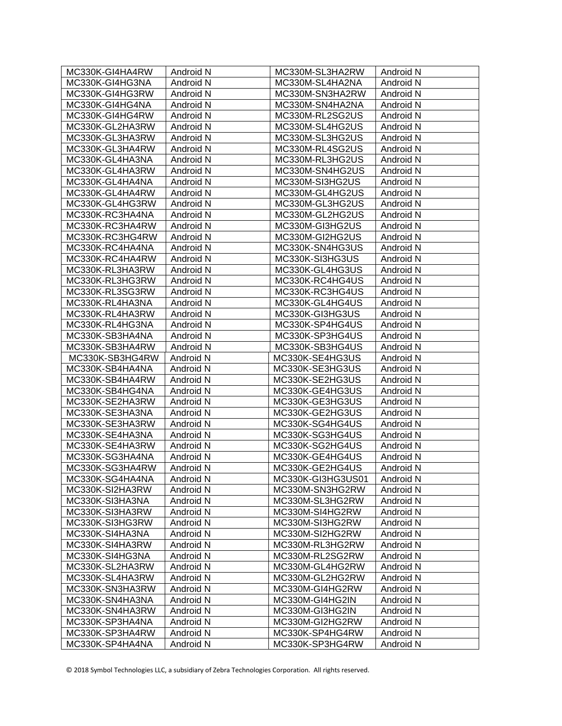| MC330K-GI4HA4RW | Android N        | MC330M-SL3HA2RW   | Android N        |
|-----------------|------------------|-------------------|------------------|
| MC330K-GI4HG3NA | Android N        | MC330M-SL4HA2NA   | Android N        |
| MC330K-GI4HG3RW | Android N        | MC330M-SN3HA2RW   | Android N        |
| MC330K-GI4HG4NA | Android N        | MC330M-SN4HA2NA   | Android N        |
| MC330K-GI4HG4RW | Android N        | MC330M-RL2SG2US   | Android N        |
| MC330K-GL2HA3RW | Android N        | MC330M-SL4HG2US   | Android N        |
| MC330K-GL3HA3RW | Android N        | MC330M-SL3HG2US   | Android N        |
| MC330K-GL3HA4RW | Android N        | MC330M-RL4SG2US   | Android N        |
| MC330K-GL4HA3NA | Android N        | MC330M-RL3HG2US   | Android N        |
| MC330K-GL4HA3RW | Android N        | MC330M-SN4HG2US   | Android N        |
| MC330K-GL4HA4NA | Android N        | MC330M-SI3HG2US   | Android N        |
| MC330K-GL4HA4RW | Android N        | MC330M-GL4HG2US   | Android N        |
| MC330K-GL4HG3RW | Android N        | MC330M-GL3HG2US   | Android N        |
| MC330K-RC3HA4NA | Android N        | MC330M-GL2HG2US   | Android N        |
| MC330K-RC3HA4RW | Android N        | MC330M-GI3HG2US   | Android N        |
| MC330K-RC3HG4RW | Android N        | MC330M-GI2HG2US   | Android N        |
| MC330K-RC4HA4NA | Android N        | MC330K-SN4HG3US   | Android N        |
| MC330K-RC4HA4RW | Android N        | MC330K-SI3HG3US   | Android N        |
| MC330K-RL3HA3RW | Android N        | MC330K-GL4HG3US   | Android N        |
| MC330K-RL3HG3RW | Android N        | MC330K-RC4HG4US   | Android N        |
| MC330K-RL3SG3RW | Android N        | MC330K-RC3HG4US   | Android N        |
| MC330K-RL4HA3NA | Android N        | MC330K-GL4HG4US   | Android N        |
| MC330K-RL4HA3RW | Android N        | MC330K-GI3HG3US   | Android N        |
| MC330K-RL4HG3NA | Android N        | MC330K-SP4HG4US   | Android N        |
| MC330K-SB3HA4NA | Android N        | MC330K-SP3HG4US   | Android N        |
| MC330K-SB3HA4RW | Android N        | MC330K-SB3HG4US   | Android N        |
| MC330K-SB3HG4RW | Android N        | MC330K-SE4HG3US   | Android N        |
| MC330K-SB4HA4NA | Android N        | MC330K-SE3HG3US   | Android N        |
| MC330K-SB4HA4RW | Android N        | MC330K-SE2HG3US   | Android N        |
| MC330K-SB4HG4NA | Android N        | MC330K-GE4HG3US   | Android N        |
| MC330K-SE2HA3RW | Android N        | MC330K-GE3HG3US   | Android N        |
| MC330K-SE3HA3NA | Android N        | MC330K-GE2HG3US   | Android N        |
| MC330K-SE3HA3RW | Android N        | MC330K-SG4HG4US   | Android N        |
| MC330K-SE4HA3NA | Android N        | MC330K-SG3HG4US   | Android N        |
| MC330K-SE4HA3RW | Android N        | MC330K-SG2HG4US   | Android N        |
| MC330K-SG3HA4NA | Android N        | MC330K-GE4HG4US   | Android N        |
| MC330K-SG3HA4RW | Android N        | MC330K-GE2HG4US   | Android N        |
| MC330K-SG4HA4NA | <b>Android N</b> | MC330K-GI3HG3US01 | <b>Android N</b> |
| MC330K-SI2HA3RW | Android N        | MC330M-SN3HG2RW   | Android N        |
| MC330K-SI3HA3NA | Android N        | MC330M-SL3HG2RW   | Android N        |
| MC330K-SI3HA3RW | Android N        | MC330M-SI4HG2RW   | Android N        |
| MC330K-SI3HG3RW | Android N        | MC330M-SI3HG2RW   | Android N        |
| MC330K-SI4HA3NA | Android N        | MC330M-SI2HG2RW   | Android N        |
| MC330K-SI4HA3RW | Android N        | MC330M-RL3HG2RW   | Android N        |
| MC330K-SI4HG3NA | Android N        | MC330M-RL2SG2RW   | Android N        |
| MC330K-SL2HA3RW | Android N        | MC330M-GL4HG2RW   | Android N        |
| MC330K-SL4HA3RW | Android N        | MC330M-GL2HG2RW   | Android N        |
| MC330K-SN3HA3RW | Android N        | MC330M-GI4HG2RW   | Android N        |
| MC330K-SN4HA3NA | Android N        | MC330M-GI4HG2IN   | Android N        |
| MC330K-SN4HA3RW | Android N        | MC330M-GI3HG2IN   | Android N        |
| MC330K-SP3HA4NA | Android N        | MC330M-GI2HG2RW   | Android N        |
| MC330K-SP3HA4RW | Android N        | MC330K-SP4HG4RW   | Android N        |
| MC330K-SP4HA4NA | Android N        | MC330K-SP3HG4RW   | Android N        |
|                 |                  |                   |                  |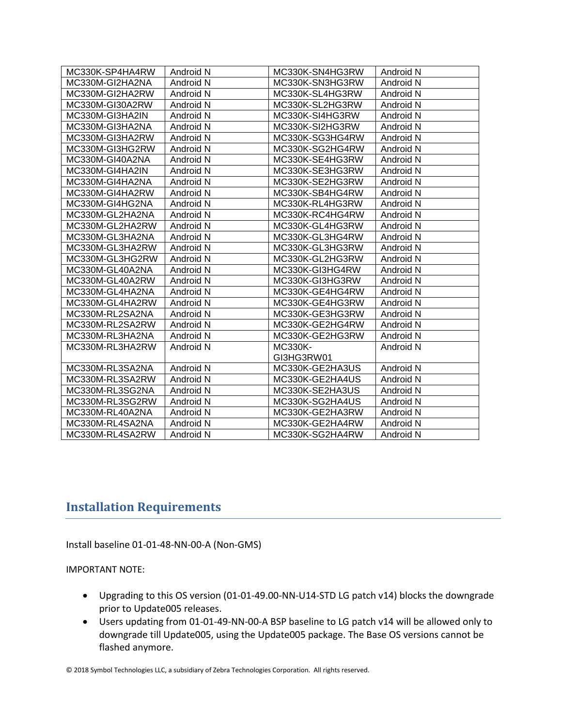| MC330K-SP4HA4RW | Android N | MC330K-SN4HG3RW | Android N |
|-----------------|-----------|-----------------|-----------|
| MC330M-GI2HA2NA | Android N | MC330K-SN3HG3RW | Android N |
| MC330M-GI2HA2RW | Android N | MC330K-SL4HG3RW | Android N |
| MC330M-GI30A2RW | Android N | MC330K-SL2HG3RW | Android N |
| MC330M-GI3HA2IN | Android N | MC330K-SI4HG3RW | Android N |
| MC330M-GI3HA2NA | Android N | MC330K-SI2HG3RW | Android N |
| MC330M-GI3HA2RW | Android N | MC330K-SG3HG4RW | Android N |
| MC330M-GI3HG2RW | Android N | MC330K-SG2HG4RW | Android N |
| MC330M-GI40A2NA | Android N | MC330K-SE4HG3RW | Android N |
| MC330M-GI4HA2IN | Android N | MC330K-SE3HG3RW | Android N |
| MC330M-GI4HA2NA | Android N | MC330K-SE2HG3RW | Android N |
| MC330M-GI4HA2RW | Android N | MC330K-SB4HG4RW | Android N |
| MC330M-GI4HG2NA | Android N | MC330K-RL4HG3RW | Android N |
| MC330M-GL2HA2NA | Android N | MC330K-RC4HG4RW | Android N |
| MC330M-GL2HA2RW | Android N | MC330K-GL4HG3RW | Android N |
| MC330M-GL3HA2NA | Android N | MC330K-GL3HG4RW | Android N |
| MC330M-GL3HA2RW | Android N | MC330K-GL3HG3RW | Android N |
| MC330M-GL3HG2RW | Android N | MC330K-GL2HG3RW | Android N |
| MC330M-GL40A2NA | Android N | MC330K-GI3HG4RW | Android N |
| MC330M-GL40A2RW | Android N | MC330K-GI3HG3RW | Android N |
| MC330M-GL4HA2NA | Android N | MC330K-GE4HG4RW | Android N |
| MC330M-GL4HA2RW | Android N | MC330K-GE4HG3RW | Android N |
| MC330M-RL2SA2NA | Android N | MC330K-GE3HG3RW | Android N |
| MC330M-RL2SA2RW | Android N | MC330K-GE2HG4RW | Android N |
| MC330M-RL3HA2NA | Android N | MC330K-GE2HG3RW | Android N |
| MC330M-RL3HA2RW | Android N | <b>MC330K-</b>  | Android N |
|                 |           | GI3HG3RW01      |           |
| MC330M-RL3SA2NA | Android N | MC330K-GE2HA3US | Android N |
| MC330M-RL3SA2RW | Android N | MC330K-GE2HA4US | Android N |
| MC330M-RL3SG2NA | Android N | MC330K-SE2HA3US | Android N |
| MC330M-RL3SG2RW | Android N | MC330K-SG2HA4US | Android N |
| MC330M-RL40A2NA | Android N | MC330K-GE2HA3RW | Android N |
| MC330M-RL4SA2NA | Android N | MC330K-GE2HA4RW | Android N |
| MC330M-RL4SA2RW | Android N | MC330K-SG2HA4RW | Android N |

## <span id="page-12-0"></span>**Installation Requirements**

Install baseline 01-01-48-NN-00-A (Non-GMS)

#### IMPORTANT NOTE:

- Upgrading to this OS version (01-01-49.00-NN-U14-STD LG patch v14) blocks the downgrade prior to Update005 releases.
- Users updating from 01-01-49-NN-00-A BSP baseline to LG patch v14 will be allowed only to downgrade till Update005, using the Update005 package. The Base OS versions cannot be flashed anymore.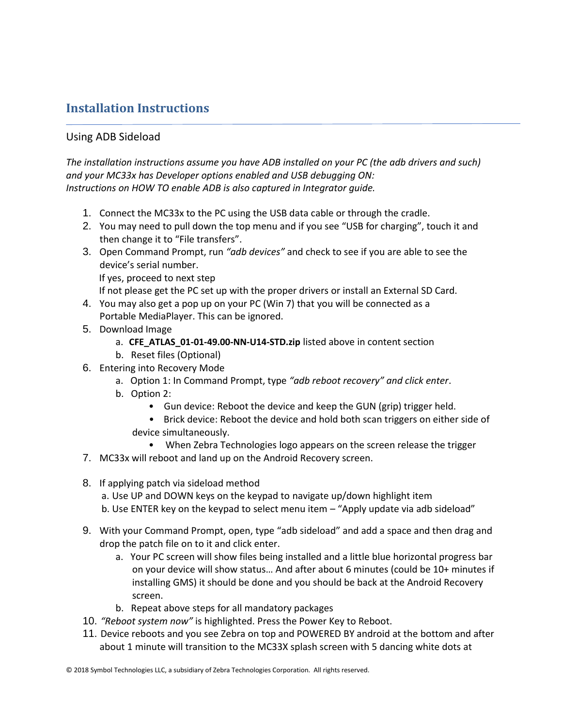## <span id="page-13-0"></span>**Installation Instructions**

#### Using ADB Sideload

*The installation instructions assume you have ADB installed on your PC (the adb drivers and such) and your MC33x has Developer options enabled and USB debugging ON: Instructions on HOW TO enable ADB is also captured in Integrator guide.*

- 1. Connect the MC33x to the PC using the USB data cable or through the cradle.
- 2. You may need to pull down the top menu and if you see "USB for charging", touch it and then change it to "File transfers".
- 3. Open Command Prompt, run *"adb devices"* and check to see if you are able to see the device's serial number. If yes, proceed to next step

If not please get the PC set up with the proper drivers or install an External SD Card.

- 4. You may also get a pop up on your PC (Win 7) that you will be connected as a Portable MediaPlayer. This can be ignored.
- 5. Download Image
	- a. **CFE\_ATLAS\_01-01-49.00-NN-U14-STD.zip** listed above in content section
	- b. Reset files (Optional)
- 6. Entering into Recovery Mode
	- a. Option 1: In Command Prompt, type *"adb reboot recovery" and click enter*.
	- b. Option 2:
		- Gun device: Reboot the device and keep the GUN (grip) trigger held.
		- Brick device: Reboot the device and hold both scan triggers on either side of device simultaneously.
			- When Zebra Technologies logo appears on the screen release the trigger
- 7. MC33x will reboot and land up on the Android Recovery screen.
- 8. If applying patch via sideload method
	- a. Use UP and DOWN keys on the keypad to navigate up/down highlight item
	- b. Use ENTER key on the keypad to select menu item "Apply update via adb sideload"
- 9. With your Command Prompt, open, type "adb sideload" and add a space and then drag and drop the patch file on to it and click enter.
	- a. Your PC screen will show files being installed and a little blue horizontal progress bar on your device will show status… And after about 6 minutes (could be 10+ minutes if installing GMS) it should be done and you should be back at the Android Recovery screen.
	- b. Repeat above steps for all mandatory packages
- 10. *"Reboot system now"* is highlighted. Press the Power Key to Reboot.
- 11. Device reboots and you see Zebra on top and POWERED BY android at the bottom and after about 1 minute will transition to the MC33X splash screen with 5 dancing white dots at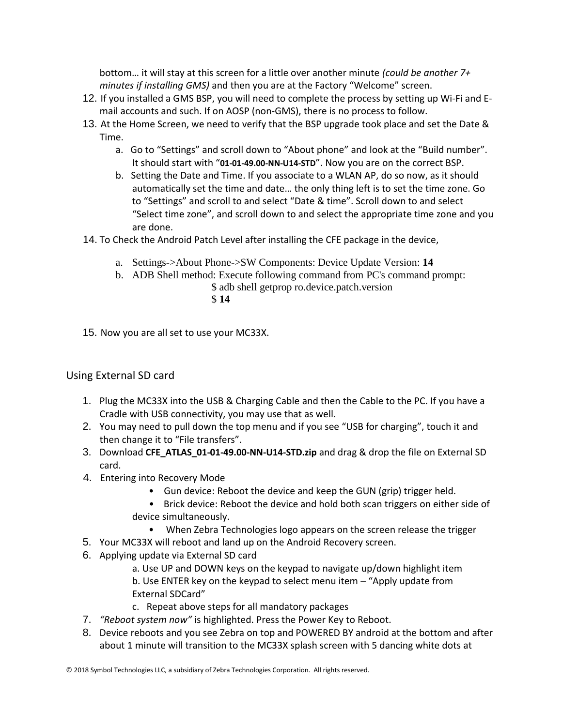bottom… it will stay at this screen for a little over another minute *(could be another 7+ minutes if installing GMS)* and then you are at the Factory "Welcome" screen.

- 12. If you installed a GMS BSP, you will need to complete the process by setting up Wi‐Fi and E‐ mail accounts and such. If on AOSP (non‐GMS), there is no process to follow.
- 13. At the Home Screen, we need to verify that the BSP upgrade took place and set the Date & Time.
	- a. Go to "Settings" and scroll down to "About phone" and look at the "Build number". It should start with "**01-01-49.00-NN-U14-STD**". Now you are on the correct BSP.
	- b. Setting the Date and Time. If you associate to a WLAN AP, do so now, as it should automatically set the time and date… the only thing left is to set the time zone. Go to "Settings" and scroll to and select "Date & time". Scroll down to and select "Select time zone", and scroll down to and select the appropriate time zone and you are done.
- 14. To Check the Android Patch Level after installing the CFE package in the device,
	- a. Settings->About Phone->SW Components: Device Update Version: **14**
	- b. ADB Shell method: Execute following command from PC's command prompt:
		- \$ adb shell getprop ro.device.patch.version \$ **14**
- 15. Now you are all set to use your MC33X.

## Using External SD card

- 1. Plug the MC33X into the USB & Charging Cable and then the Cable to the PC. If you have a Cradle with USB connectivity, you may use that as well.
- 2. You may need to pull down the top menu and if you see "USB for charging", touch it and then change it to "File transfers".
- 3. Download **CFE\_ATLAS\_01-01-49.00-NN-U14-STD.zip** and drag & drop the file on External SD card.
- 4. Entering into Recovery Mode
	- Gun device: Reboot the device and keep the GUN (grip) trigger held.
	- Brick device: Reboot the device and hold both scan triggers on either side of device simultaneously.
		- When Zebra Technologies logo appears on the screen release the trigger
- 5. Your MC33X will reboot and land up on the Android Recovery screen.
- 6. Applying update via External SD card
	- a. Use UP and DOWN keys on the keypad to navigate up/down highlight item b. Use ENTER key on the keypad to select menu item – "Apply update from External SDCard"
	- c. Repeat above steps for all mandatory packages
- 7. *"Reboot system now"* is highlighted. Press the Power Key to Reboot.
- 8. Device reboots and you see Zebra on top and POWERED BY android at the bottom and after about 1 minute will transition to the MC33X splash screen with 5 dancing white dots at